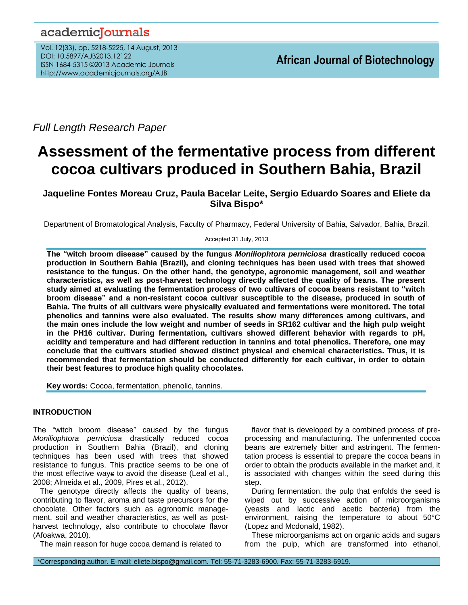# academicJournals

Vol. 12(33), pp. 5218-5225, 14 August, 2013 DOI: 10.5897/AJB2013.12122 ISSN 1684-5315 ©2013 Academic Journals http://www.academicjournals.org/AJB

*Full Length Research Paper*

# **Assessment of the fermentative process from different cocoa cultivars produced in Southern Bahia, Brazil**

# **Jaqueline Fontes Moreau Cruz, Paula Bacelar Leite, Sergio Eduardo Soares and Eliete da Silva Bispo\***

Department of Bromatological Analysis, Faculty of Pharmacy, Federal University of Bahia, Salvador, Bahia, Brazil.

# Accepted 31 July, 2013

**The "witch broom disease" caused by the fungus** *Moniliophtora perniciosa* **drastically reduced cocoa production in Southern Bahia (Brazil), and cloning techniques has been used with trees that showed resistance to the fungus. On the other hand, the genotype, agronomic management, soil and weather characteristics, as well as post-harvest technology directly affected the quality of beans. The present study aimed at evaluating the fermentation process of two cultivars of cocoa beans resistant to "witch broom disease" and a non-resistant cocoa cultivar susceptible to the disease, produced in south of Bahia. The fruits of all cultivars were physically evaluated and fermentations were monitored. The total phenolics and tannins were also evaluated. The results show many differences among cultivars, and the main ones include the low weight and number of seeds in SR162 cultivar and the high pulp weight in the PH16 cultivar. During fermentation, cultivars showed different behavior with regards to pH, acidity and temperature and had different reduction in tannins and total phenolics. Therefore, one may conclude that the cultivars studied showed distinct physical and chemical characteristics. Thus, it is recommended that fermentation should be conducted differently for each cultivar, in order to obtain their best features to produce high quality chocolates.**

**Key words:** Cocoa, fermentation, phenolic, tannins.

# **INTRODUCTION**

The "witch broom disease" caused by the fungus *Moniliophtora perniciosa* drastically reduced cocoa production in Southern Bahia (Brazil), and cloning techniques has been used with trees that showed resistance to fungus. This practice seems to be one of the most effective ways to avoid the disease (Leal et al., 2008; Almeida et al., 2009, Pires et al., 2012).

The genotype directly affects the quality of beans, contributing to flavor, aroma and taste precursors for the chocolate. Other factors such as agronomic management, soil and weather characteristics, as well as postharvest technology, also contribute to chocolate flavor (Afoakwa, 2010).

The main reason for huge cocoa demand is related to

flavor that is developed by a combined process of preprocessing and manufacturing. The unfermented cocoa beans are extremely bitter and astringent. The fermentation process is essential to prepare the cocoa beans in order to obtain the products available in the market and, it is associated with changes within the seed during this step.

During fermentation, the pulp that enfolds the seed is wiped out by successive action of microorganisms (yeasts and lactic and acetic bacteria) from the environment, raising the temperature to about 50°C (Lopez and Mcdonald, 1982).

These microorganisms act on organic acids and sugars from the pulp, which are transformed into ethanol,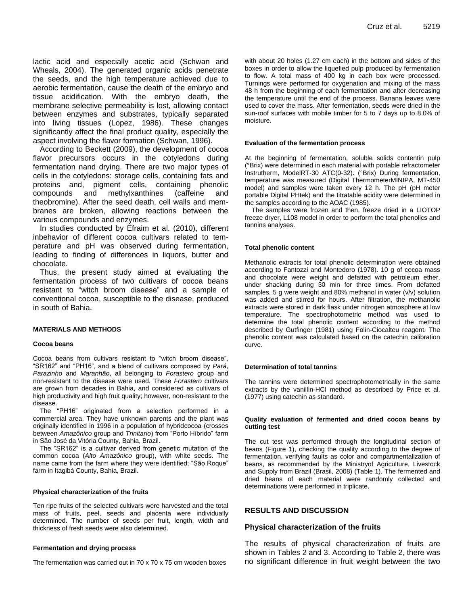lactic acid and especially acetic acid (Schwan and Wheals, 2004). The generated organic acids penetrate the seeds, and the high temperature achieved due to aerobic fermentation, cause the death of the embryo and tissue acidification. With the embryo death, the membrane selective permeability is lost, allowing contact between enzymes and substrates, typically separated into living tissues (Lopez, 1986). These changes significantly affect the final product quality, especially the aspect involving the flavor formation (Schwan, 1996).

According to Beckett (2009), the development of cocoa flavor precursors occurs in the cotyledons during fermentation nand drying. There are two major types of cells in the cotyledons: storage cells, containing fats and proteins and, pigment cells, containing phenolic compounds and methylxanthines (caffeine and theobromine). After the seed death, cell walls and membranes are broken, allowing reactions between the various compounds and enzymes.

In studies conducted by Efraim et al. (2010), different inbehavior of different cocoa cultivars related to temperature and pH was observed during fermentation, leading to finding of differences in liquors, butter and chocolate.

Thus, the present study aimed at evaluating the fermentation process of two cultivars of cocoa beans resistant to "witch broom disease" and a sample of conventional cocoa, susceptible to the disease, produced in south of Bahia.

#### **MATERIALS AND METHODS**

#### **Cocoa beans**

Cocoa beans from cultivars resistant to "witch broom disease", "SR162" and "PH16", and a blend of cultivars composed by *Pará*, *Parazinho* and *Maranhão*, all belonging to *Forastero* group and non-resistant to the disease were used. These *Forastero* cultivars are grown from decades in Bahia, and considered as cultivars of high productivity and high fruit quality; however, non-resistant to the disease.

The "PH16" originated from a selection performed in a commercial area. They have unknown parents and the plant was originally identified in 1996 in a population of hybridcocoa (crosses between *Amazônico* group and *Trinitario*) from "Porto Híbrido" farm in São José da Vitória County, Bahia, Brazil.

The "SR162" is a cultivar derived from genetic mutation of the common cocoa (*Alto Amazônico* group), with white seeds. The name came from the farm where they were identified; "São Roque" farm in Itagibá County, Bahia, Brazil.

#### **Physical characterization of the fruits**

Ten ripe fruits of the selected cultivars were harvested and the total mass of fruits, peel, seeds and placenta were individually determined. The number of seeds per fruit, length, width and thickness of fresh seeds were also determined.

#### **Fermentation and drying process**

The fermentation was carried out in 70 x 70 x 75 cm wooden boxes

with about 20 holes (1.27 cm each) in the bottom and sides of the boxes in order to allow the liquefied pulp produced by fermentation to flow. A total mass of 400 kg in each box were processed. Turnings were performed for oxygenation and mixing of the mass 48 h from the beginning of each fermentation and after decreasing the temperature until the end of the process. Banana leaves were used to cover the mass. After fermentation, seeds were dried in the sun-roof surfaces with mobile timber for 5 to 7 days up to 8.0% of moisture.

#### **Evaluation of the fermentation process**

At the beginning of fermentation, soluble solids contentin pulp (°Brix) were determined in each material with portable refractometer Instrutherm, ModelRT-30 ATC(0-32). (°Brix) During fermentation, temperature was measured (Digital ThermometerMINIPA, MT-450 model) and samples were taken every 12 h. The pH (pH meter portable Digital PHtek) and the titratable acidity were determined in the samples according to the AOAC (1985).

The samples were frozen and then, freeze dried in a LIOTOP freeze dryer, L108 model in order to perform the total phenolics and tannins analyses.

#### **Total phenolic content**

Methanolic extracts for total phenolic determination were obtained according to Fantozzi and Montedoro (1978). 10 g of cocoa mass and chocolate were weight and defatted with petroleum ether, under shacking during 30 min for three times. From defatted samples, 5 g were weight and 80% methanol in water (v/v) solution was added and stirred for hours. After filtration, the methanolic extracts were stored in dark flask under nitrogen atmosphere at low temperature. The spectrophotometric method was used to determine the total phenolic content according to the method described by Gutfinger (1981) using Folin-Ciocalteu reagent. The phenolic content was calculated based on the catechin calibration curve.

#### **Determination of total tannins**

The tannins were determined spectrophotometrically in the same extracts by the vanillin-HCI method as described by Price et al. (1977) using catechin as standard.

#### **Quality evaluation of fermented and dried cocoa beans by cutting test**

The cut test was performed through the longitudinal section of beans (Figure 1), checking the quality according to the degree of fermentation, verifying faults as color and compartmentalization of beans, as recommended by the Ministryof Agriculture, Livestock and Supply from Brazil (Brasil, 2008) (Table 1). The fermented and dried beans of each material were randomly collected and determinations were performed in triplicate.

## **RESULTS AND DISCUSSION**

#### **Physical characterization of the fruits**

The results of physical characterization of fruits are shown in Tables 2 and 3. According to Table 2, there was no significant difference in fruit weight between the two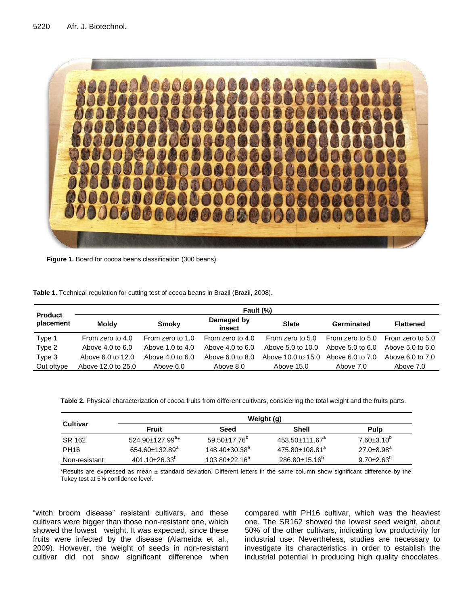

**Figure 1.** Board for cocoa beans classification (300 beans).

Table 1. Technical regulation for cutting test of cocoa beans in Brazil (Brazil, 2008).

| <b>Product</b><br>placement | Fault (%)          |                      |                      |                    |                  |                  |  |  |
|-----------------------------|--------------------|----------------------|----------------------|--------------------|------------------|------------------|--|--|
|                             | Moldv              | Smoky                | Damaged by<br>insect | <b>Slate</b>       | Germinated       | <b>Flattened</b> |  |  |
| Type 1                      | From zero to 4.0   | From zero to 1.0     | From zero to 4.0     | From zero to 5.0   | From zero to 5.0 | From zero to 5.0 |  |  |
| Type 2                      | Above 4.0 to 6.0   | Above 1.0 to 4.0     | Above 4.0 to 6.0     | Above 5.0 to 10.0  | Above 5.0 to 6.0 | Above 5.0 to 6.0 |  |  |
| Type 3                      | Above 6.0 to 12.0  | Above $4.0$ to $6.0$ | Above 6.0 to 8.0     | Above 10.0 to 15.0 | Above 6.0 to 7.0 | Above 6.0 to 7.0 |  |  |
| Out of type                 | Above 12.0 to 25.0 | Above 6.0            | Above 8.0            | Above 15.0         | Above 7.0        | Above 7.0        |  |  |

**Table 2.** Physical characterization of cocoa fruits from different cultivars, considering the total weight and the fruits parts.

|                 | Weight (g)               |                                 |                                  |                              |  |  |
|-----------------|--------------------------|---------------------------------|----------------------------------|------------------------------|--|--|
| <b>Cultivar</b> | <b>Fruit</b>             | Seed                            | Shell                            | Pulp                         |  |  |
| SR 162          | $524.90 \pm 127.99^{a*}$ | $59.50 \pm 17.76^{\circ}$       | $453.50 \pm 111.67$ <sup>a</sup> | $7.60 \pm 3.10^6$            |  |  |
| <b>PH16</b>     | $654.60 \pm 132.89^a$    | $148.40 \pm 30.38$ <sup>a</sup> | $475.80 \pm 108.81$ <sup>a</sup> | $27.0 \pm 8.98$ <sup>a</sup> |  |  |
| Non-resistant   | $401.10 \pm 26.33^{b}$   | $103.80 \pm 22.16^a$            | $286.80\pm15.16^{b}$             | $9.70 \pm 2.63^{\circ}$      |  |  |

\*Results are expressed as mean ± standard deviation. Different letters in the same column show significant difference by the Tukey test at 5% confidence level.

"witch broom disease" resistant cultivars, and these cultivars were bigger than those non-resistant one, which showed the lowest weight. It was expected, since these fruits were infected by the disease (Alameida et al., 2009). However, the weight of seeds in non-resistant cultivar did not show significant difference when compared with PH16 cultivar, which was the heaviest one. The SR162 showed the lowest seed weight, about 50% of the other cultivars, indicating low productivity for industrial use. Nevertheless, studies are necessary to investigate its characteristics in order to establish the industrial potential in producing high quality chocolates.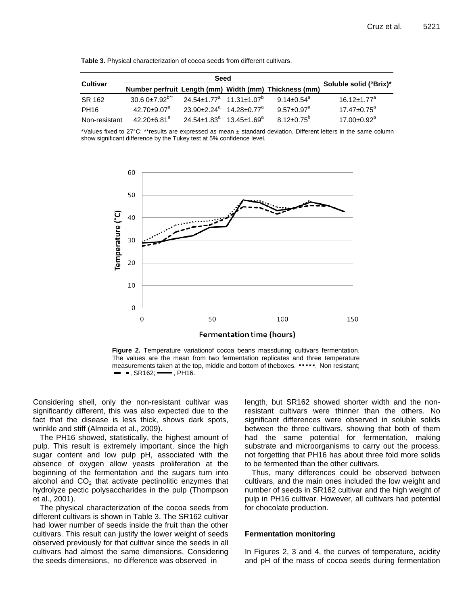| Cultivar      |                             |                                                  | Number perfruit Length (mm) Width (mm) Thickness (mm) | Soluble solid (°Brix)*        |
|---------------|-----------------------------|--------------------------------------------------|-------------------------------------------------------|-------------------------------|
| SR 162        | $30.6~0{\pm}7.92^{b^{**}}$  | $24.54+1.77^a$ 11.31+1.07 <sup>b</sup>           | $9.14 + 0.54^a$                                       | $16.12 \pm 1.77$ <sup>a</sup> |
| <b>PH16</b>   | 42.70±9.07 $^{\rm a}$       | $23.90+2.24^a$ 14.28+0.77 <sup>a</sup>           | $9.57 + 0.97$ <sup>a</sup>                            | $17.47 \pm 0.75$ <sup>a</sup> |
| Non-resistant | $42.20 + 6.81$ <sup>a</sup> | $24.54 \pm 1.83^a$ 13.45 $\pm$ 1.69 <sup>a</sup> | $8.12 \pm 0.75^{\circ}$                               | $17.00 \pm 0.92$ <sup>a</sup> |

**Table 3.** Physical characterization of cocoa seeds from different cultivars.

\*Values fixed to 27°C; \*\*results are expressed as mean  $\pm$  standard deviation. Different letters in the same column show significant difference by the Tukey test at 5% confidence level.



**Figure 2.** Temperature variationof cocoa beans massduring cultivars fermentation. The values are the mean from two fermentation replicates and three temperature measurements taken at the top, middle and bottom of theboxes. \*\*\*\*, Non resistant;  $-$ , SR162;  $-$ , PH16.

Considering shell, only the non-resistant cultivar was significantly different, this was also expected due to the fact that the disease is less thick, shows dark spots, wrinkle and stiff (Almeida et al., 2009).

The PH16 showed, statistically, the highest amount of pulp. This result is extremely important, since the high sugar content and low pulp pH, associated with the absence of oxygen allow yeasts proliferation at the beginning of the fermentation and the sugars turn into alcohol and  $CO<sub>2</sub>$  that activate pectinolitic enzymes that hydrolyze pectic polysaccharides in the pulp (Thompson et al., 2001).

The physical characterization of the cocoa seeds from different cultivars is shown in Table 3. The SR162 cultivar had lower number of seeds inside the fruit than the other cultivars. This result can justify the lower weight of seeds observed previously for that cultivar since the seeds in all cultivars had almost the same dimensions. Considering the seeds dimensions, no difference was observed in

length, but SR162 showed shorter width and the nonresistant cultivars were thinner than the others. No significant differences were observed in soluble solids between the three cultivars, showing that both of them had the same potential for fermentation, making substrate and microorganisms to carry out the process, not forgetting that PH16 has about three fold more solids to be fermented than the other cultivars.

Thus, many differences could be observed between cultivars, and the main ones included the low weight and number of seeds in SR162 cultivar and the high weight of pulp in PH16 cultivar. However, all cultivars had potential for chocolate production.

# **Fermentation monitoring**

In Figures 2, 3 and 4, the curves of temperature, acidity and pH of the mass of cocoa seeds during fermentation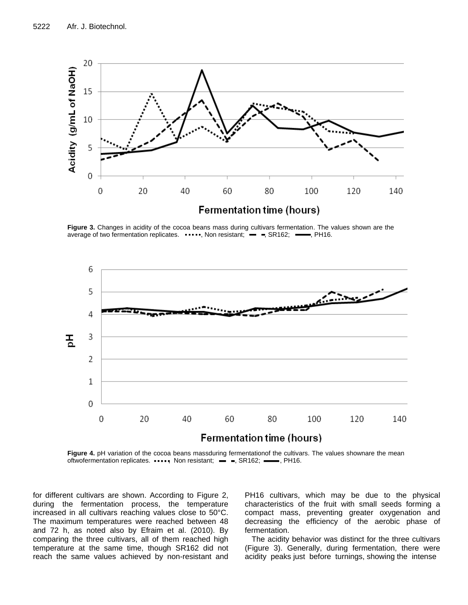

**Figure 3.** Changes in acidity of the cocoa beans mass during cultivars fermentation. The values shown are the average of two fermentation replicates. ..., Non resistant; - = , SR162; -, PH16.



**Figure 4.** pH variation of the cocoa beans massduring fermentationof the cultivars. The values shownare the mean oftwofermentation replicates.  $\cdots$ , Non resistant;  $\cdots$ , SR162;  $\cdots$ , PH16.

for different cultivars are shown. According to Figure 2, during the fermentation process, the temperature increased in all cultivars reaching values close to 50°C. The maximum temperatures were reached between 48 and 72 h, as noted also by Efraim et al. (2010). By comparing the three cultivars, all of them reached high temperature at the same time, though SR162 did not reach the same values achieved by non-resistant and

PH16 cultivars, which may be due to the physical characteristics of the fruit with small seeds forming a compact mass, preventing greater oxygenation and decreasing the efficiency of the aerobic phase of fermentation.

The acidity behavior was distinct for the three cultivars (Figure 3). Generally, during fermentation, there were acidity peaks just before turnings, showing the intense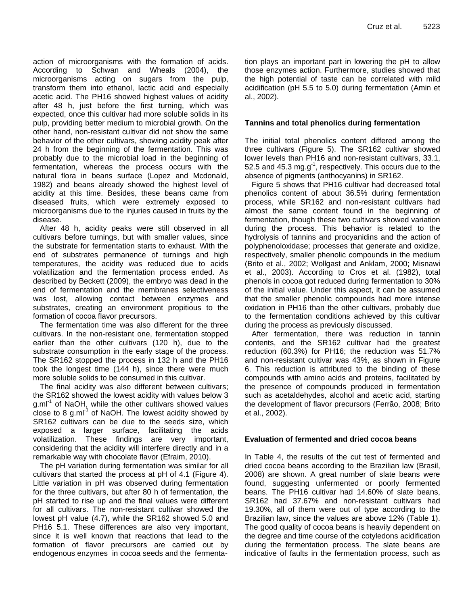action of microorganisms with the formation of acids. According to Schwan and Wheals (2004), the microorganisms acting on sugars from the pulp, transform them into ethanol, lactic acid and especially acetic acid. The PH16 showed highest values of acidity after 48 h, just before the first turning, which was expected, once this cultivar had more soluble solids in its pulp, providing better medium to microbial growth. On the other hand, non-resistant cultivar did not show the same behavior of the other cultivars, showing acidity peak after 24 h from the beginning of the fermentation. This was probably due to the microbial load in the beginning of fermentation, whereas the process occurs with the natural flora in beans surface (Lopez and Mcdonald, 1982) and beans already showed the highest level of acidity at this time. Besides, these beans came from diseased fruits, which were extremely exposed to microorganisms due to the injuries caused in fruits by the disease.

After 48 h, acidity peaks were still observed in all cultivars before turnings, but with smaller values, since the substrate for fermentation starts to exhaust. With the end of substrates permanence of turnings and high temperatures, the acidity was reduced due to acids volatilization and the fermentation process ended. As described by Beckett (2009), the embryo was dead in the end of fermentation and the membranes selectiveness was lost, allowing contact between enzymes and substrates, creating an environment propitious to the formation of cocoa flavor precursors.

The fermentation time was also different for the three cultivars. In the non-resistant one, fermentation stopped earlier than the other cultivars (120 h), due to the substrate consumption in the early stage of the process. The SR162 stopped the process in 132 h and the PH16 took the longest time (144 h), since there were much more soluble solids to be consumed in this cultivar.

The final acidity was also different between cultivars; the SR162 showed the lowest acidity with values below 3 g.ml<sup>-1</sup> of NaOH, while the other cultivars showed values close to 8 g.ml<sup>-1</sup> of NaOH. The lowest acidity showed by SR162 cultivars can be due to the seeds size, which exposed a larger surface, facilitating the acids volatilization. These findings are very important, considering that the acidity will interfere directly and in a remarkable way with chocolate flavor (Efraim, 2010).

The pH variation during fermentation was similar for all cultivars that started the process at pH of 4.1 (Figure 4). Little variation in pH was observed during fermentation for the three cultivars, but after 80 h of fermentation, the pH started to rise up and the final values were different for all cultivars. The non-resistant cultivar showed the lowest pH value (4.7), while the SR162 showed 5.0 and PH16 5.1. These differences are also very important, since it is well known that reactions that lead to the formation of flavor precursors are carried out by endogenous enzymes in cocoa seeds and the fermentation plays an important part in lowering the pH to allow those enzymes action. Furthermore, studies showed that the high potential of taste can be correlated with mild acidification (pH 5.5 to 5.0) during fermentation (Amin et al., 2002).

# **Tannins and total phenolics during fermentation**

The initial total phenolics content differed among the three cultivars (Figure 5). The SR162 cultivar showed lower levels than PH16 and non-resistant cultivars, 33.1, 52.5 and 45.3 mg.g<sup>-1</sup>, respectively. This occurs due to the absence of pigments (anthocyanins) in SR162.

Figure 5 shows that PH16 cultivar had decreased total phenolics content of about 36.5% during fermentation process, while SR162 and non-resistant cultivars had almost the same content found in the beginning of fermentation, though these two cultivars showed variation during the process. This behavior is related to the hydrolysis of tannins and procyanidins and the action of polyphenoloxidase; processes that generate and oxidize, respectively, smaller phenolic compounds in the medium (Brito et al., 2002; Wollgast and Anklam, 2000; Misnawi et al., 2003). According to Cros et al. (1982), total phenols in cocoa got reduced during fermentation to 30% of the initial value. Under this aspect, it can be assumed that the smaller phenolic compounds had more intense oxidation in PH16 than the other cultivars, probably due to the fermentation conditions achieved by this cultivar during the process as previously discussed.

After fermentation, there was reduction in tannin contents, and the SR162 cultivar had the greatest reduction (60.3%) for PH16; the reduction was 51.7% and non-resistant cultivar was 43%, as shown in Figure 6. This reduction is attributed to the binding of these compounds with amino acids and proteins, facilitated by the presence of compounds produced in fermentation such as acetaldehydes, alcohol and acetic acid, starting the development of flavor precursors (Ferrão, 2008; Brito et al., 2002).

# **Evaluation of fermented and dried cocoa beans**

In Table 4, the results of the cut test of fermented and dried cocoa beans according to the Brazilian law (Brasil, 2008) are shown. A great number of slate beans were found, suggesting unfermented or poorly fermented beans. The PH16 cultivar had 14.60% of slate beans, SR162 had 37.67% and non-resistant cultivars had 19.30%, all of them were out of type according to the Brazilian law, since the values are above 12% (Table 1). The good quality of cocoa beans is heavily dependent on the degree and time course of the cotyledons acidification during the fermentation process. The slate beans are indicative of faults in the fermentation process, such as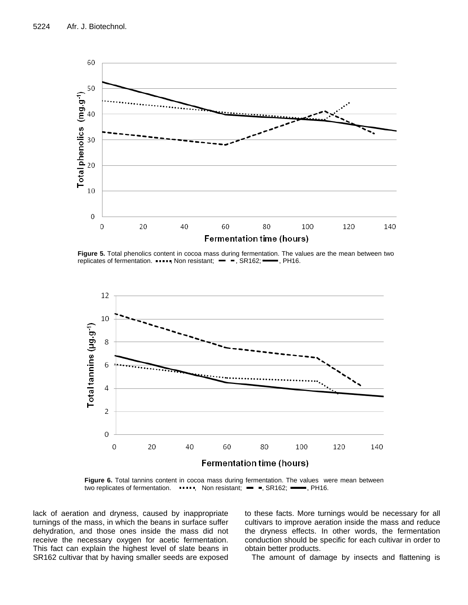

**Figure 5.** Total phenolics content in cocoa mass during fermentation. The values are the mean between two replicates of fermentation.  $\cdots$ , Non resistant;  $\cdots$ , SR162;  $\cdots$ , PH16.



**Figure 6.** Total tannins content in cocoa mass during fermentation. The values were mean between two replicates of fermentation.  $\cdots$ , Non resistant;  $\cdots$ , SR162;  $\cdots$ , PH16.

lack of aeration and dryness, caused by inappropriate turnings of the mass, in which the beans in surface suffer dehydration, and those ones inside the mass did not receive the necessary oxygen for acetic fermentation. This fact can explain the highest level of slate beans in SR162 cultivar that by having smaller seeds are exposed

to these facts. More turnings would be necessary for all cultivars to improve aeration inside the mass and reduce the dryness effects. In other words, the fermentation conduction should be specific for each cultivar in order to obtain better products.

The amount of damage by insects and flattening is